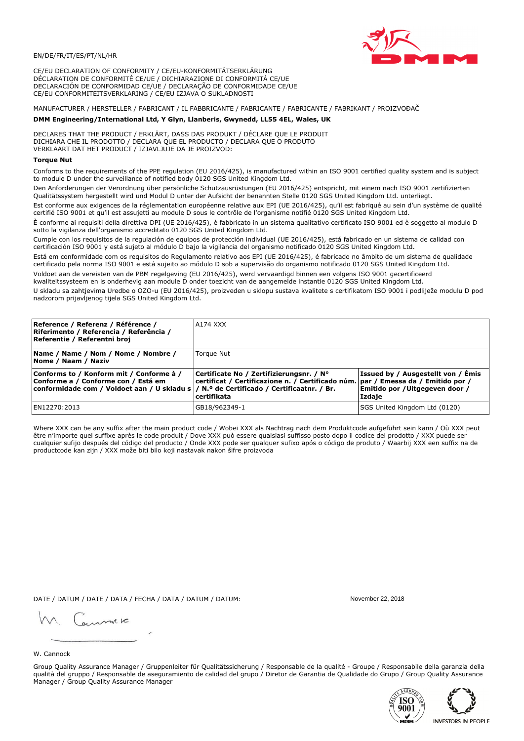# EN/DE/FR/IT/ES/PT/NL/HR

CE/EU DECLARATION OF CONFORMITY / CE/EU-KONFORMITÄTSERKLÄRUNG DÉCLARATION DE CONFORMITÉ CE/UE / DICHIARAZIONE DI CONFORMITÀ CE/UE DECLARACIÓN DE CONFORMIDAD CE/UE / DECLARAÇÃO DE CONFORMIDADE CE/UE CE/EU CONFORMITEITSVERKLARING / CE/EU IZJAVA O SUKLADNOSTI

# MANUFACTURER / HERSTELLER / FABRICANT / IL FABBRICANTE / FABRICANTE / FABRICANTE / FABRIKANT / PROIZVOĐAČ

# DMM Engineering/International Ltd, Y Glyn, Llanberis, Gwynedd, LL55 4EL, Wales, UK

DECLARES THAT THE PRODUCT / ERKLÄRT, DASS DAS PRODUKT / DÉCLARE QUE LE PRODUIT<br>DICHIARA CHE IL PRODOTTO / DECLARA QUE EL PRODUCTO / DECLARA QUE O PRODUTO VERKLAART DAT HET PRODUCT / IZJAVLJUJE DA JE PROIZVOD:

### **Toraue Nut**

Conforms to the requirements of the PPE regulation (EU 2016/425), is manufactured within an ISO 9001 certified quality system and is subject to module D under the surveillance of notified body 0120 SGS United Kingdom Ltd.

Den Anforderungen der Verordnung über persönliche Schutzausrüstungen (EU 2016/425) entspricht, mit einem nach ISO 9001 zertifizierten Qualitätssystem hergestellt wird und Modul D unter der Aufsicht der benannten Stelle 0120 SGS United Kingdom Ltd. unterliegt.

Est conforme aux exigences de la réglementation européenne relative aux EPI (UE 2016/425), qu'il est fabriqué au sein d'un système de qualité certifié ISO 9001 et qu'il est assujetti au module D sous le contrôle de l'organisme notifié 0120 SGS United Kingdom Ltd.

È conforme ai requisiti della direttiva DPI (UE 2016/425), è fabbricato in un sistema qualitativo certificato ISO 9001 ed è soggetto al modulo D sotto la vigilanza dell'organismo accreditato 0120 SGS United Kingdom Ltd.

Cumple con los requisitos de la regulación de equipos de protección individual (UE 2016/425), está fabricado en un sistema de calidad con certificación ISO 9001 y está sujeto al módulo D bajo la vigilancia del organismo notificado 0120 SGS United Kingdom Ltd.

Está em conformidade com os requisitos do Regulamento relativo aos EPI (UE 2016/425), é fabricado no âmbito de um sistema de qualidade certificado pela norma ISO 9001 e está sujeito ao módulo D sob a supervisão do organismo notificado 0120 SGS United Kingdom Ltd. Voldoet aan de vereisten van de PBM regelgeving (EU 2016/425), werd vervaardigd binnen een volgens ISO 9001 gecertificeerd

kwaliteitssysteem en is onderhevig aan module D onder toezicht van de aangemelde instantie 0120 SGS United Kingdom Ltd.

U skladu sa zahtjevima Uredbe o OZO-u (EU 2016/425), proizveden u sklopu sustava kvalitete s certifikatom ISO 9001 i podliježe modulu D pod nadzorom prijavljenog tijela SGS United Kingdom Ltd.

| Reference / Referenz / Référence /<br>Riferimento / Referencia / Referência /<br>Referentie / Referentni broj                                                               | A174 XXX                                                                                                                                         |                                                                                 |
|-----------------------------------------------------------------------------------------------------------------------------------------------------------------------------|--------------------------------------------------------------------------------------------------------------------------------------------------|---------------------------------------------------------------------------------|
| Name / Name / Nom / Nome / Nombre /<br>Nome / Naam / Naziv                                                                                                                  | Torque Nut                                                                                                                                       |                                                                                 |
| Conforms to / Konform mit / Conforme à /<br>Conforme a / Conforme con / Está em<br>conformidade com / Voldoet aan / U skladu s  / N.º de Certificado / Certificaatnr. / Br. | Certificate No / Zertifizierungsnr. / N°<br>  certificat / Certificazione n. / Certificado núm.   par / Emessa da / Emitido por /<br>certifikata | Issued by / Ausgestellt von / Emis<br>Emitido por / Uitgegeven door /<br>Izdaje |
| EN12270:2013                                                                                                                                                                | GB18/962349-1                                                                                                                                    | SGS United Kingdom Ltd (0120)                                                   |

Where XXX can be any suffix after the main product code / Wobei XXX als Nachtrag nach dem Produktcode aufgeführt sein kann / Où XXX peut etre n'importe quel suffixe après le code produit / Dove XXX può essere qualsiasi suffisso posto dopo il codice del prodotto / XXX puede ser<br>cualquier sufijo después del código del producto / Onde XXX pode ser qualquer suf productcode kan zijn / XXX može biti bilo koji nastavak nakon šifre proizvoda

DATE / DATUM / DATE / DATA / FECHA / DATA / DATUM / DATUM:

gimmic

November 22, 2018



Group Quality Assurance Manager / Gruppenleiter für Qualitätssicherung / Responsable de la qualité - Groupe / Responsabile della garanzia della qualità del gruppo / Responsable de aseguramiento de calidad del grupo / Diretor de Garantia de Qualidade do Grupo / Group Quality Assurance Manager / Group Quality Assurance Manager



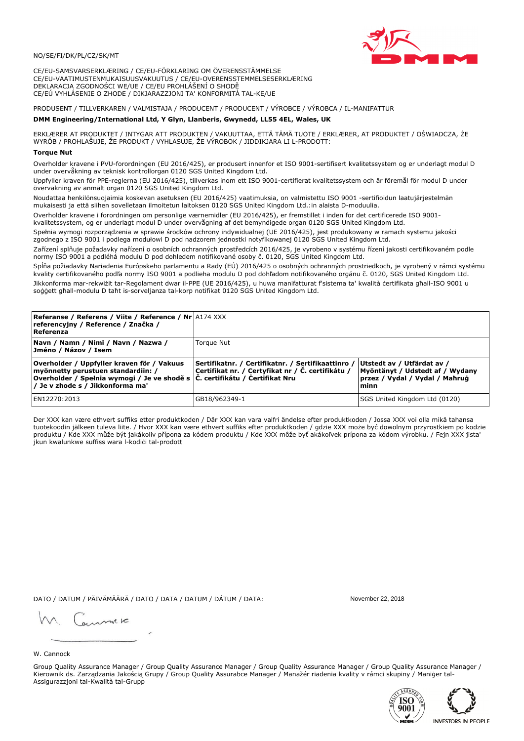# NO/SE/FI/DK/PL/CZ/SK/MT

CE/EU-SAMSVARSERKLÆRING / CE/EU-FÖRKLARING OM ÖVERENSSTÄMMELSE CE/EU-VAATIMUSTENMUKAISUUSVAKUUTUS / CE/EU-OVERENSSTEMMELSESERKLÆRING DEKLARACJA ZGODNOŚCI WE/UE / CE/EU PROHLÁŠENÍ O SHODĚ CE/EÚ VYHLÁSENIE O ZHODE / DIKJARAZZJONI TA' KONFORMITÀ TAL-KE/UE

PRODUSENT / TILLVERKAREN / VALMISTAJA / PRODUCENT / PRODUCENT / VÝROBCE / VÝROBCA / IL-MANIFATTUR

## DMM Engineering/International Ltd, Y Glyn, Llanberis, Gwynedd, LL55 4EL, Wales, UK

ERKLÆRER AT PRODUKTET / INTYGAR ATT PRODUKTEN / VAKUUTTAA, ETTÄ TÄMÄ TUOTE / ERKLÆRER, AT PRODUKTET / OŚWIADCZA, ŻE<br>WYRÓB / PROHLAŠUJE, ŽE PRODUKT / VYHLASUJE, ŽE VÝROBOK / JIDDIKJARA LI L-PRODOTT:

Overholder kravene i PVU-forordningen (EU 2016/425), er produsert innenfor et ISO 9001-sertifisert kvalitetssystem og er underlagt modul D<br>under overvåkning av teknisk kontrollorgan 0120 SGS United Kingdom Ltd.

Uppfyller kraven för PPE-reglerna (EU 2016/425), tillverkas inom ett ISO 9001-certifierat kvalitetssystem och är föremål för modul D under övervakning av anmält organ 0120 SGS United Kingdom Ltd.

Noudattaa henkilönsuojaimia koskevan asetuksen (EU 2016/425) vaatimuksia, on valmistettu ISO 9001 -sertifioidun laatujärjestelmän mukaisesti ja että siihen sovelletaan ilmoitetun laitoksen 0120 SGS United Kingdom Ltd.:in alaista D-moduulia.

Overholder kravene i forordningen om personlige værnemidler (EU 2016/425), er fremstillet i inden for det certificerede ISO 9001kvalitetssystem, og er underlagt modul D under overvågning af det bemyndigede organ 0120 SGS United Kingdom Ltd.

Spełnia wymogi rozporządzenia w sprawie środków ochrony indywidualnej (UE 2016/425), jest produkowany w ramach systemu jakości zgodnego z ISO 9001 i podlega modułowi D pod nadzorem jednostki notyfikowanej 0120 SGS United Kingdom Ltd.

Zařízení splňuje požadavky nařízení o osobních ochranných prostředcích 2016/425, je vyrobeno v systému řízení jakosti certifikovaném podle normy ISO 9001 a podléhá modulu D pod dohledem notifikované osoby č. 0120, SGS United Kingdom Ltd.

Spĺňa požiadavky Nariadenia Európskeho parlamentu a Rady (EÚ) 2016/425 o osobných ochranných prostriedkoch, je vyrobený v rámci systému kvality certifikovaného podľa normy ISO 9001 a podlieha modulu D pod dohľadom notifikovaného orgánu č. 0120, SGS Únited Kingdom Ltd. Jikkonforma mar-rekwiżit tar-Regolament dwar il-PPE (UE 2016/425), u huwa manifatturat f'sistema ta' kwalità certifikata għall-ISO 9001 u soggett ghall-modulu D taht is-sorveljanza tal-korp notifikat 0120 SGS United Kingdom Ltd.

| <b>Referanse / Referens / Viite / Reference / Nr</b> A174 XXX<br>referencyjny / Reference / Značka /<br>Referenza                                                                                                 |                                                                                                          |                                                                                                         |
|-------------------------------------------------------------------------------------------------------------------------------------------------------------------------------------------------------------------|----------------------------------------------------------------------------------------------------------|---------------------------------------------------------------------------------------------------------|
| Navn / Namn / Nimi / Navn / Nazwa /<br>Jméno / Názov / Isem                                                                                                                                                       | Torque Nut                                                                                               |                                                                                                         |
| Overholder / Uppfyller kraven för / Vakuus<br>myönnetty perustuen standardiin: /<br> Overholder / Spełnia wymogi / Je ve shodě s $ \tilde{C} $ . certifikátu / Certifikat Nru<br>/ Je v zhode s / Jikkonforma ma' | Sertifikatnr. / Certifikatnr. / Sertifikaattinro /<br> Certifikat nr. / Certyfikat nr / Č. certifikátu / | Utstedt av / Utfärdat av /<br>Myöntänyt / Udstedt af / Wydany<br>przez / Vydal / Vydal / Maħruġ<br>minn |
| EN12270:2013                                                                                                                                                                                                      | GB18/962349-1                                                                                            | SGS United Kingdom Ltd (0120)                                                                           |

Der XXX kan være ethvert suffiks etter produktkoden / Där XXX kan vara valfri ändelse efter produktkoden / Jossa XXX voi olla mikä tahansa tuotekoodin jälkeen tuleva liite. / Hvor XXX kan være ethvert suffiks efter produktkoden / gdzie XXX może być dowolnym przyrostkiem po kodzie produktu / Kde XXX může být jakákoliv přípona za kódem produktu / Kde XXX môže byť akákoľvek prípona za kódom výrobku. / Fejn XXX jista jkun kwalunkwe suffiss wara l-kodici tal-prodott

DATO / DATUM / PÄIVÄMÄÄRÄ / DATO / DATA / DATUM / DÁTUM / DATA:

November 22, 2018

annuic

W. Cannock

Group Quality Assurance Manager / Group Quality Assurance Manager / Group Quality Assurance Manager / Group Quality Assurance Manager / Kierownik ds. Zarządzania Jakością Grupy / Group Quality Assurabce Manager / Manažér riadenia kvality v rámci skupiny / Maniger tal-Assigurazzjoni tal-Kwalità tal-Grupp